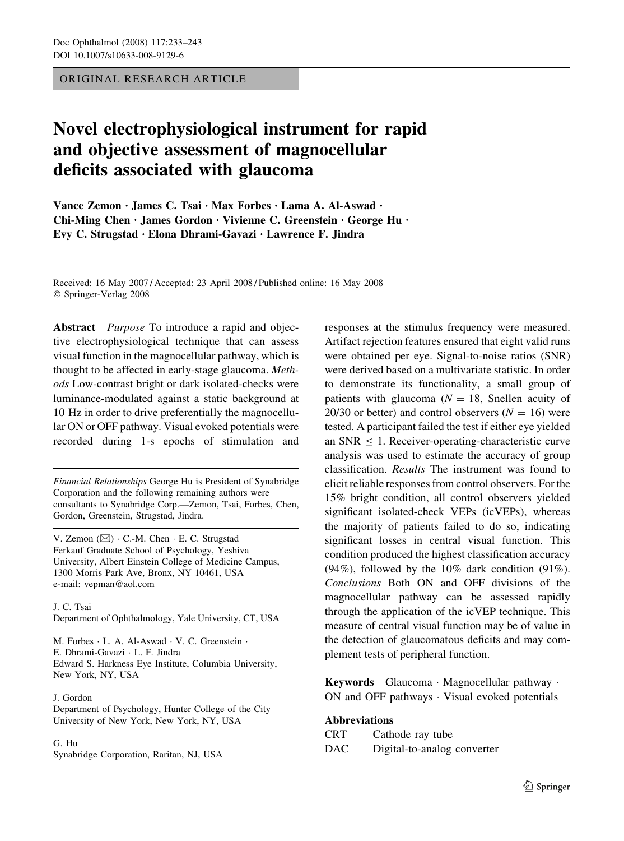ORIGINAL RESEARCH ARTICLE

# Novel electrophysiological instrument for rapid and objective assessment of magnocellular deficits associated with glaucoma

Vance Zemon · James C. Tsai · Max Forbes · Lama A. Al-Aswad · Chi-Ming Chen · James Gordon · Vivienne C. Greenstein · George Hu · Evy C. Strugstad · Elona Dhrami-Gavazi · Lawrence F. Jindra

Received: 16 May 2007 / Accepted: 23 April 2008 / Published online: 16 May 2008 Springer-Verlag 2008

Abstract *Purpose* To introduce a rapid and objective electrophysiological technique that can assess visual function in the magnocellular pathway, which is thought to be affected in early-stage glaucoma. Methods Low-contrast bright or dark isolated-checks were luminance-modulated against a static background at 10 Hz in order to drive preferentially the magnocellular ON or OFF pathway. Visual evoked potentials were recorded during 1-s epochs of stimulation and

Financial Relationships George Hu is President of Synabridge Corporation and the following remaining authors were consultants to Synabridge Corp.—Zemon, Tsai, Forbes, Chen, Gordon, Greenstein, Strugstad, Jindra.

V. Zemon ( $\boxtimes$ ) · C.-M. Chen · E. C. Strugstad Ferkauf Graduate School of Psychology, Yeshiva University, Albert Einstein College of Medicine Campus, 1300 Morris Park Ave, Bronx, NY 10461, USA e-mail: vepman@aol.com

J. C. Tsai Department of Ophthalmology, Yale University, CT, USA

M. Forbes  $\cdot$  L. A. Al-Aswad  $\cdot$  V. C. Greenstein  $\cdot$ E. Dhrami-Gavazi · L. F. Jindra Edward S. Harkness Eye Institute, Columbia University, New York, NY, USA

J. Gordon

Department of Psychology, Hunter College of the City University of New York, New York, NY, USA

#### G. Hu

Synabridge Corporation, Raritan, NJ, USA

responses at the stimulus frequency were measured. Artifact rejection features ensured that eight valid runs were obtained per eye. Signal-to-noise ratios (SNR) were derived based on a multivariate statistic. In order to demonstrate its functionality, a small group of patients with glaucoma  $(N = 18$ , Snellen acuity of 20/30 or better) and control observers  $(N = 16)$  were tested. A participant failed the test if either eye yielded an  $SNR < 1$ . Receiver-operating-characteristic curve analysis was used to estimate the accuracy of group classification. Results The instrument was found to elicit reliable responses from control observers. For the 15% bright condition, all control observers yielded significant isolated-check VEPs (icVEPs), whereas the majority of patients failed to do so, indicating significant losses in central visual function. This condition produced the highest classification accuracy  $(94\%)$ , followed by the 10% dark condition  $(91\%)$ . Conclusions Both ON and OFF divisions of the magnocellular pathway can be assessed rapidly through the application of the icVEP technique. This measure of central visual function may be of value in the detection of glaucomatous deficits and may complement tests of peripheral function.

Keywords Glaucoma · Magnocellular pathway · ON and OFF pathways  $\cdot$  Visual evoked potentials

# Abbreviations

| CRT | Cathode ray tube            |
|-----|-----------------------------|
| DAC | Digital-to-analog converter |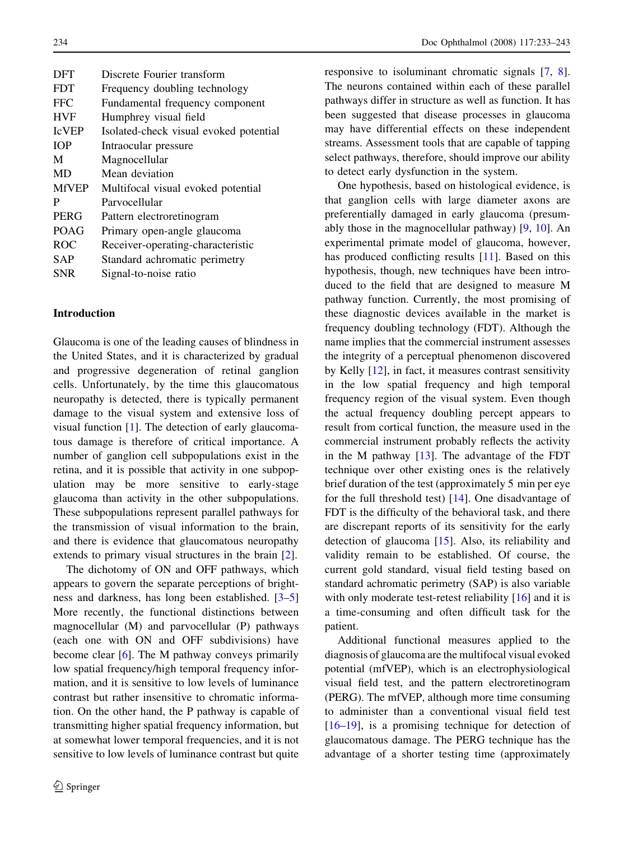| <b>DFT</b>   | Discrete Fourier transform             |  |  |
|--------------|----------------------------------------|--|--|
| <b>FDT</b>   | Frequency doubling technology          |  |  |
| <b>FFC</b>   | Fundamental frequency component        |  |  |
| <b>HVF</b>   | Humphrey visual field                  |  |  |
| <b>IcVEP</b> | Isolated-check visual evoked potential |  |  |
| <b>TOP</b>   | Intraocular pressure                   |  |  |
| M            | Magnocellular                          |  |  |
| MD           | Mean deviation                         |  |  |
| <b>MfVEP</b> | Multifocal visual evoked potential     |  |  |
| P            | Parvocellular                          |  |  |
| PERG         | Pattern electroretinogram              |  |  |
| <b>POAG</b>  | Primary open-angle glaucoma            |  |  |
| <b>ROC</b>   | Receiver-operating-characteristic      |  |  |
| SAP          | Standard achromatic perimetry          |  |  |
| SNR          | Signal-to-noise ratio                  |  |  |
|              |                                        |  |  |

#### Introduction

Glaucoma is one of the leading causes of blindness in the United States, and it is characterized by gradual and progressive degeneration of retinal ganglion cells. Unfortunately, by the time this glaucomatous neuropathy is detected, there is typically permanent damage to the visual system and extensive loss of visual function [\[1](#page-9-0)]. The detection of early glaucomatous damage is therefore of critical importance. A number of ganglion cell subpopulations exist in the retina, and it is possible that activity in one subpopulation may be more sensitive to early-stage glaucoma than activity in the other subpopulations. These subpopulations represent parallel pathways for the transmission of visual information to the brain, and there is evidence that glaucomatous neuropathy extends to primary visual structures in the brain [\[2](#page-9-0)].

The dichotomy of ON and OFF pathways, which appears to govern the separate perceptions of brightness and darkness, has long been established. [[3–5\]](#page-10-0) More recently, the functional distinctions between magnocellular (M) and parvocellular (P) pathways (each one with ON and OFF subdivisions) have become clear [\[6](#page-10-0)]. The M pathway conveys primarily low spatial frequency/high temporal frequency information, and it is sensitive to low levels of luminance contrast but rather insensitive to chromatic information. On the other hand, the P pathway is capable of transmitting higher spatial frequency information, but at somewhat lower temporal frequencies, and it is not sensitive to low levels of luminance contrast but quite responsive to isoluminant chromatic signals [\[7](#page-10-0), [8](#page-10-0)]. The neurons contained within each of these parallel pathways differ in structure as well as function. It has been suggested that disease processes in glaucoma may have differential effects on these independent streams. Assessment tools that are capable of tapping select pathways, therefore, should improve our ability to detect early dysfunction in the system.

One hypothesis, based on histological evidence, is that ganglion cells with large diameter axons are preferentially damaged in early glaucoma (presumably those in the magnocellular pathway) [[9,](#page-10-0) [10](#page-10-0)]. An experimental primate model of glaucoma, however, has produced conflicting results [[11\]](#page-10-0). Based on this hypothesis, though, new techniques have been introduced to the field that are designed to measure M pathway function. Currently, the most promising of these diagnostic devices available in the market is frequency doubling technology (FDT). Although the name implies that the commercial instrument assesses the integrity of a perceptual phenomenon discovered by Kelly [\[12](#page-10-0)], in fact, it measures contrast sensitivity in the low spatial frequency and high temporal frequency region of the visual system. Even though the actual frequency doubling percept appears to result from cortical function, the measure used in the commercial instrument probably reflects the activity in the M pathway  $[13]$  $[13]$ . The advantage of the FDT technique over other existing ones is the relatively brief duration of the test (approximately 5 min per eye for the full threshold test) [\[14](#page-10-0)]. One disadvantage of FDT is the difficulty of the behavioral task, and there are discrepant reports of its sensitivity for the early detection of glaucoma [\[15](#page-10-0)]. Also, its reliability and validity remain to be established. Of course, the current gold standard, visual field testing based on standard achromatic perimetry (SAP) is also variable with only moderate test-retest reliability [\[16](#page-10-0)] and it is a time-consuming and often difficult task for the patient.

Additional functional measures applied to the diagnosis of glaucoma are the multifocal visual evoked potential (mfVEP), which is an electrophysiological visual field test, and the pattern electroretinogram (PERG). The mfVEP, although more time consuming to administer than a conventional visual field test [\[16–19](#page-10-0)], is a promising technique for detection of glaucomatous damage. The PERG technique has the advantage of a shorter testing time (approximately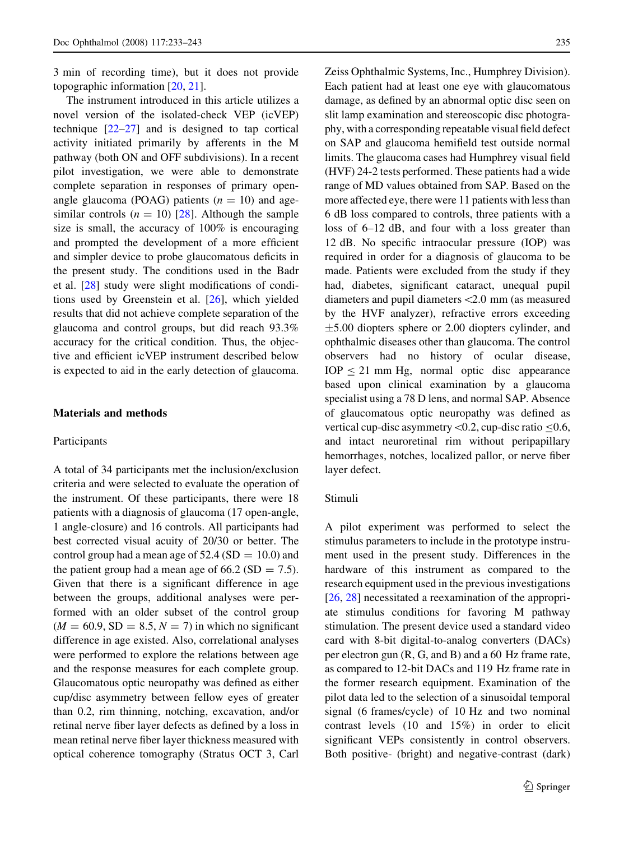3 min of recording time), but it does not provide topographic information [\[20](#page-10-0), [21](#page-10-0)].

The instrument introduced in this article utilizes a novel version of the isolated-check VEP (icVEP) technique  $[22-27]$  and is designed to tap cortical activity initiated primarily by afferents in the M pathway (both ON and OFF subdivisions). In a recent pilot investigation, we were able to demonstrate complete separation in responses of primary openangle glaucoma (POAG) patients  $(n = 10)$  and agesimilar controls  $(n = 10)$  [\[28](#page-10-0)]. Although the sample size is small, the accuracy of 100% is encouraging and prompted the development of a more efficient and simpler device to probe glaucomatous deficits in the present study. The conditions used in the Badr et al. [\[28](#page-10-0)] study were slight modifications of conditions used by Greenstein et al. [[26\]](#page-10-0), which yielded results that did not achieve complete separation of the glaucoma and control groups, but did reach 93.3% accuracy for the critical condition. Thus, the objective and efficient icVEP instrument described below is expected to aid in the early detection of glaucoma.

# Materials and methods

#### Participants

A total of 34 participants met the inclusion/exclusion criteria and were selected to evaluate the operation of the instrument. Of these participants, there were 18 patients with a diagnosis of glaucoma (17 open-angle, 1 angle-closure) and 16 controls. All participants had best corrected visual acuity of 20/30 or better. The control group had a mean age of  $52.4$  (SD = 10.0) and the patient group had a mean age of 66.2 (SD  $= 7.5$ ). Given that there is a significant difference in age between the groups, additional analyses were performed with an older subset of the control group  $(M = 60.9, SD = 8.5, N = 7)$  in which no significant difference in age existed. Also, correlational analyses were performed to explore the relations between age and the response measures for each complete group. Glaucomatous optic neuropathy was defined as either cup/disc asymmetry between fellow eyes of greater than 0.2, rim thinning, notching, excavation, and/or retinal nerve fiber layer defects as defined by a loss in mean retinal nerve fiber layer thickness measured with optical coherence tomography (Stratus OCT 3, Carl Zeiss Ophthalmic Systems, Inc., Humphrey Division). Each patient had at least one eye with glaucomatous damage, as defined by an abnormal optic disc seen on slit lamp examination and stereoscopic disc photography, with a corresponding repeatable visual field defect on SAP and glaucoma hemifield test outside normal limits. The glaucoma cases had Humphrey visual field (HVF) 24-2 tests performed. These patients had a wide range of MD values obtained from SAP. Based on the more affected eye, there were 11 patients with less than 6 dB loss compared to controls, three patients with a loss of 6–12 dB, and four with a loss greater than 12 dB. No specific intraocular pressure (IOP) was required in order for a diagnosis of glaucoma to be made. Patients were excluded from the study if they had, diabetes, significant cataract, unequal pupil diameters and pupil diameters\2.0 mm (as measured by the HVF analyzer), refractive errors exceeding  $\pm$ 5.00 diopters sphere or 2.00 diopters cylinder, and ophthalmic diseases other than glaucoma. The control observers had no history of ocular disease,  $IOP < 21$  mm Hg, normal optic disc appearance based upon clinical examination by a glaucoma specialist using a 78 D lens, and normal SAP. Absence of glaucomatous optic neuropathy was defined as vertical cup-disc asymmetry < 0.2, cup-disc ratio  $\leq 0.6$ , and intact neuroretinal rim without peripapillary hemorrhages, notches, localized pallor, or nerve fiber layer defect.

## Stimuli

A pilot experiment was performed to select the stimulus parameters to include in the prototype instrument used in the present study. Differences in the hardware of this instrument as compared to the research equipment used in the previous investigations [\[26](#page-10-0), [28](#page-10-0)] necessitated a reexamination of the appropriate stimulus conditions for favoring M pathway stimulation. The present device used a standard video card with 8-bit digital-to-analog converters (DACs) per electron gun (R, G, and B) and a 60 Hz frame rate, as compared to 12-bit DACs and 119 Hz frame rate in the former research equipment. Examination of the pilot data led to the selection of a sinusoidal temporal signal (6 frames/cycle) of 10 Hz and two nominal contrast levels (10 and 15%) in order to elicit significant VEPs consistently in control observers. Both positive- (bright) and negative-contrast (dark)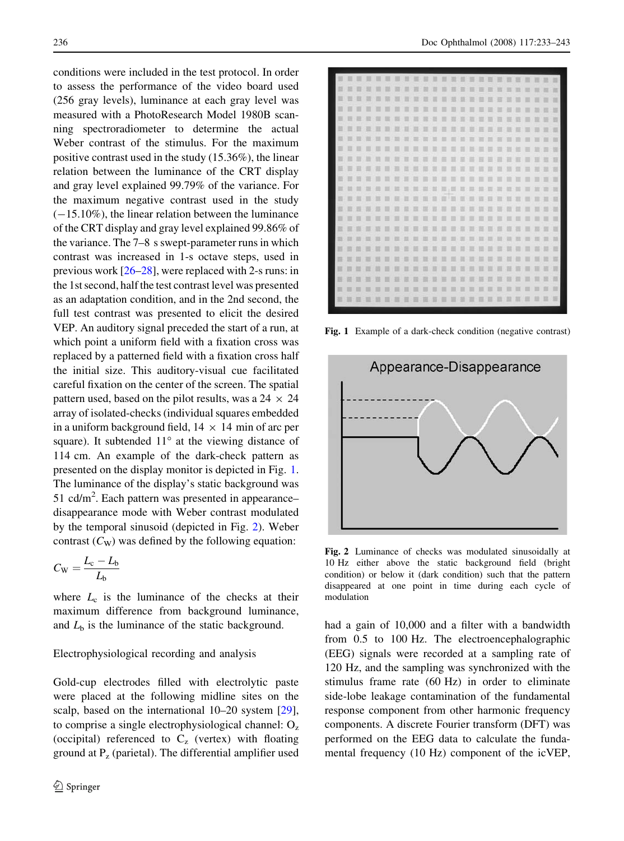conditions were included in the test protocol. In order to assess the performance of the video board used (256 gray levels), luminance at each gray level was measured with a PhotoResearch Model 1980B scanning spectroradiometer to determine the actual Weber contrast of the stimulus. For the maximum positive contrast used in the study (15.36%), the linear relation between the luminance of the CRT display and gray level explained 99.79% of the variance. For the maximum negative contrast used in the study  $(-15.10\%)$ , the linear relation between the luminance of the CRT display and gray level explained 99.86% of the variance. The 7–8 s swept-parameter runs in which contrast was increased in 1-s octave steps, used in previous work [[26–28\]](#page-10-0), were replaced with 2-s runs: in the 1st second, half the test contrast level was presented as an adaptation condition, and in the 2nd second, the full test contrast was presented to elicit the desired VEP. An auditory signal preceded the start of a run, at which point a uniform field with a fixation cross was replaced by a patterned field with a fixation cross half the initial size. This auditory-visual cue facilitated careful fixation on the center of the screen. The spatial pattern used, based on the pilot results, was a  $24 \times 24$ array of isolated-checks (individual squares embedded in a uniform background field,  $14 \times 14$  min of arc per square). It subtended  $11^{\circ}$  at the viewing distance of 114 cm. An example of the dark-check pattern as presented on the display monitor is depicted in Fig. 1. The luminance of the display's static background was 51 cd/ $m^2$ . Each pattern was presented in appearancedisappearance mode with Weber contrast modulated by the temporal sinusoid (depicted in Fig. 2). Weber contrast  $(C_{W})$  was defined by the following equation:

$$
C_{\rm W} = \frac{L_{\rm c} - L_{\rm b}}{L_{\rm b}}
$$

where  $L_c$  is the luminance of the checks at their maximum difference from background luminance, and  $L<sub>b</sub>$  is the luminance of the static background.

#### Electrophysiological recording and analysis

Gold-cup electrodes filled with electrolytic paste were placed at the following midline sites on the scalp, based on the international 10–20 system [\[29](#page-10-0)], to comprise a single electrophysiological channel:  $O<sub>z</sub>$ (occipital) referenced to  $C_z$  (vertex) with floating ground at  $P_z$  (parietal). The differential amplifier used



Fig. 1 Example of a dark-check condition (negative contrast)



Fig. 2 Luminance of checks was modulated sinusoidally at 10 Hz either above the static background field (bright condition) or below it (dark condition) such that the pattern disappeared at one point in time during each cycle of modulation

had a gain of 10,000 and a filter with a bandwidth from 0.5 to 100 Hz. The electroencephalographic (EEG) signals were recorded at a sampling rate of 120 Hz, and the sampling was synchronized with the stimulus frame rate (60 Hz) in order to eliminate side-lobe leakage contamination of the fundamental response component from other harmonic frequency components. A discrete Fourier transform (DFT) was performed on the EEG data to calculate the fundamental frequency (10 Hz) component of the icVEP,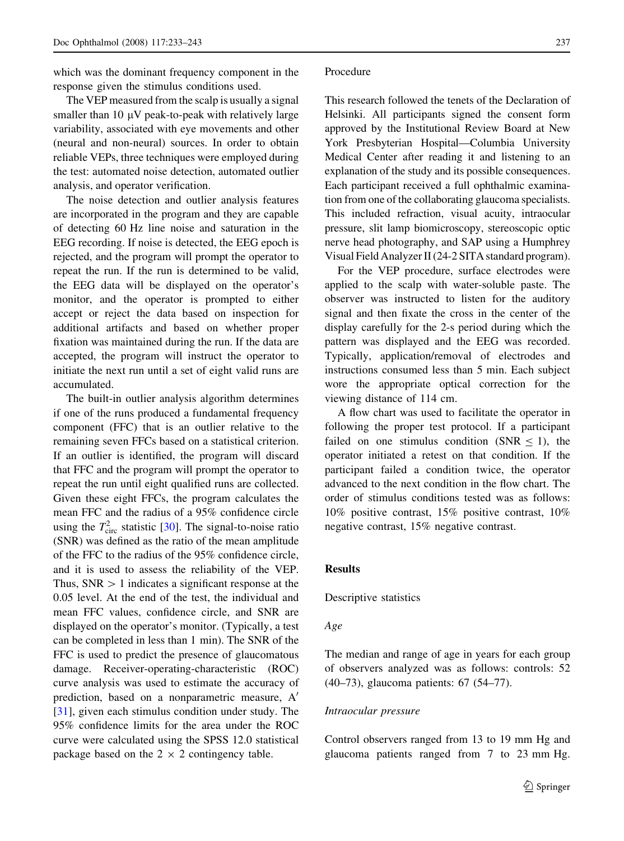which was the dominant frequency component in the response given the stimulus conditions used.

The VEP measured from the scalp is usually a signal smaller than  $10 \mu V$  peak-to-peak with relatively large variability, associated with eye movements and other (neural and non-neural) sources. In order to obtain reliable VEPs, three techniques were employed during the test: automated noise detection, automated outlier analysis, and operator verification.

The noise detection and outlier analysis features are incorporated in the program and they are capable of detecting 60 Hz line noise and saturation in the EEG recording. If noise is detected, the EEG epoch is rejected, and the program will prompt the operator to repeat the run. If the run is determined to be valid, the EEG data will be displayed on the operator's monitor, and the operator is prompted to either accept or reject the data based on inspection for additional artifacts and based on whether proper fixation was maintained during the run. If the data are accepted, the program will instruct the operator to initiate the next run until a set of eight valid runs are accumulated.

The built-in outlier analysis algorithm determines if one of the runs produced a fundamental frequency component (FFC) that is an outlier relative to the remaining seven FFCs based on a statistical criterion. If an outlier is identified, the program will discard that FFC and the program will prompt the operator to repeat the run until eight qualified runs are collected. Given these eight FFCs, the program calculates the mean FFC and the radius of a 95% confidence circle using the  $T_{\text{circ}}^2$  statistic [[30\]](#page-10-0). The signal-to-noise ratio (SNR) was defined as the ratio of the mean amplitude of the FFC to the radius of the 95% confidence circle, and it is used to assess the reliability of the VEP. Thus,  $SNR > 1$  indicates a significant response at the 0.05 level. At the end of the test, the individual and mean FFC values, confidence circle, and SNR are displayed on the operator's monitor. (Typically, a test can be completed in less than 1 min). The SNR of the FFC is used to predict the presence of glaucomatous damage. Receiver-operating-characteristic (ROC) curve analysis was used to estimate the accuracy of prediction, based on a nonparametric measure,  $A'$ [\[31](#page-10-0)], given each stimulus condition under study. The 95% confidence limits for the area under the ROC curve were calculated using the SPSS 12.0 statistical package based on the  $2 \times 2$  contingency table.

#### Procedure

This research followed the tenets of the Declaration of Helsinki. All participants signed the consent form approved by the Institutional Review Board at New York Presbyterian Hospital—Columbia University Medical Center after reading it and listening to an explanation of the study and its possible consequences. Each participant received a full ophthalmic examination from one of the collaborating glaucoma specialists. This included refraction, visual acuity, intraocular pressure, slit lamp biomicroscopy, stereoscopic optic nerve head photography, and SAP using a Humphrey Visual Field Analyzer II (24-2 SITA standard program).

For the VEP procedure, surface electrodes were applied to the scalp with water-soluble paste. The observer was instructed to listen for the auditory signal and then fixate the cross in the center of the display carefully for the 2-s period during which the pattern was displayed and the EEG was recorded. Typically, application/removal of electrodes and instructions consumed less than 5 min. Each subject wore the appropriate optical correction for the viewing distance of 114 cm.

A flow chart was used to facilitate the operator in following the proper test protocol. If a participant failed on one stimulus condition (SNR  $\le$  1), the operator initiated a retest on that condition. If the participant failed a condition twice, the operator advanced to the next condition in the flow chart. The order of stimulus conditions tested was as follows: 10% positive contrast, 15% positive contrast, 10% negative contrast, 15% negative contrast.

## Results

Descriptive statistics

#### Age

The median and range of age in years for each group of observers analyzed was as follows: controls: 52 (40–73), glaucoma patients: 67 (54–77).

# Intraocular pressure

Control observers ranged from 13 to 19 mm Hg and glaucoma patients ranged from 7 to 23 mm Hg.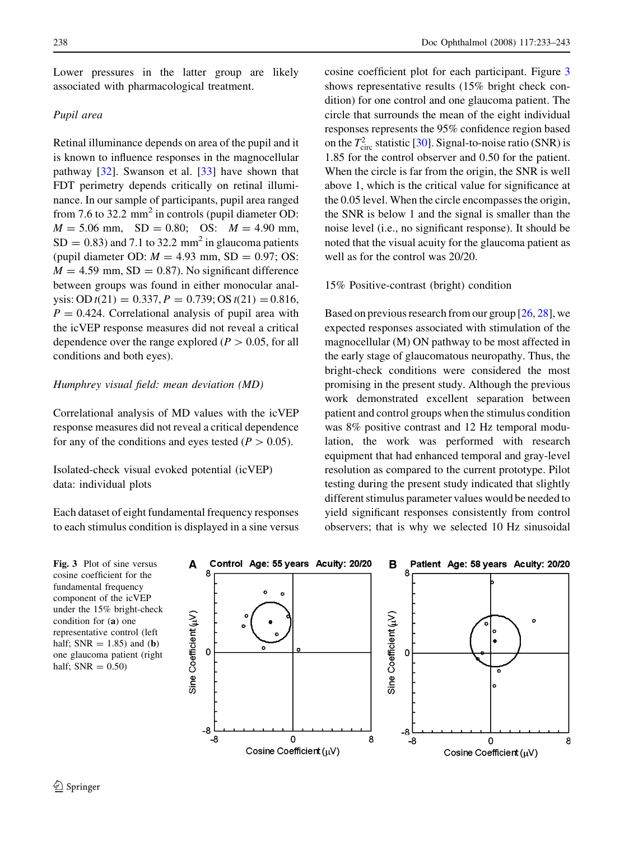Lower pressures in the latter group are likely associated with pharmacological treatment.

# Pupil area

Retinal illuminance depends on area of the pupil and it is known to influence responses in the magnocellular pathway [\[32](#page-10-0)]. Swanson et al. [\[33](#page-10-0)] have shown that FDT perimetry depends critically on retinal illuminance. In our sample of participants, pupil area ranged from 7.6 to 32.2  $mm<sup>2</sup>$  in controls (pupil diameter OD:  $M = 5.06$  mm,  $SD = 0.80$ ; OS:  $M = 4.90$  mm,  $SD = 0.83$ ) and 7.1 to 32.2 mm<sup>2</sup> in glaucoma patients (pupil diameter OD:  $M = 4.93$  mm, SD = 0.97; OS:  $M = 4.59$  mm, SD = 0.87). No significant difference between groups was found in either monocular analysis: OD  $t(21) = 0.337, P = 0.739$ ; OS  $t(21) = 0.816$ ,  $P = 0.424$ . Correlational analysis of pupil area with the icVEP response measures did not reveal a critical dependence over the range explored ( $P > 0.05$ , for all conditions and both eyes).

## Humphrey visual field: mean deviation (MD)

Correlational analysis of MD values with the icVEP response measures did not reveal a critical dependence for any of the conditions and eyes tested ( $P > 0.05$ ).

Isolated-check visual evoked potential (icVEP) data: individual plots

Each dataset of eight fundamental frequency responses to each stimulus condition is displayed in a sine versus cosine coefficient plot for each participant. Figure 3 shows representative results (15% bright check condition) for one control and one glaucoma patient. The circle that surrounds the mean of the eight individual responses represents the 95% confidence region based on the  $T_{\text{circ}}^2$  statistic [\[30\]](#page-10-0). Signal-to-noise ratio (SNR) is 1.85 for the control observer and 0.50 for the patient. When the circle is far from the origin, the SNR is well above 1, which is the critical value for significance at the 0.05 level. When the circle encompasses the origin, the SNR is below 1 and the signal is smaller than the noise level (i.e., no significant response). It should be noted that the visual acuity for the glaucoma patient as well as for the control was 20/20.

#### 15% Positive-contrast (bright) condition

Based on previous research from our group [\[26](#page-10-0), [28](#page-10-0)], we expected responses associated with stimulation of the magnocellular (M) ON pathway to be most affected in the early stage of glaucomatous neuropathy. Thus, the bright-check conditions were considered the most promising in the present study. Although the previous work demonstrated excellent separation between patient and control groups when the stimulus condition was 8% positive contrast and 12 Hz temporal modulation, the work was performed with research equipment that had enhanced temporal and gray-level resolution as compared to the current prototype. Pilot testing during the present study indicated that slightly different stimulus parameter values would be needed to yield significant responses consistently from control observers; that is why we selected 10 Hz sinusoidal

Fig. 3 Plot of sine versus cosine coefficient for the fundamental frequency component of the icVEP under the 15% bright-check condition for (a) one representative control (left half;  $SNR = 1.85$ ) and (b) one glaucoma patient (right half;  $SNR = 0.50$ 

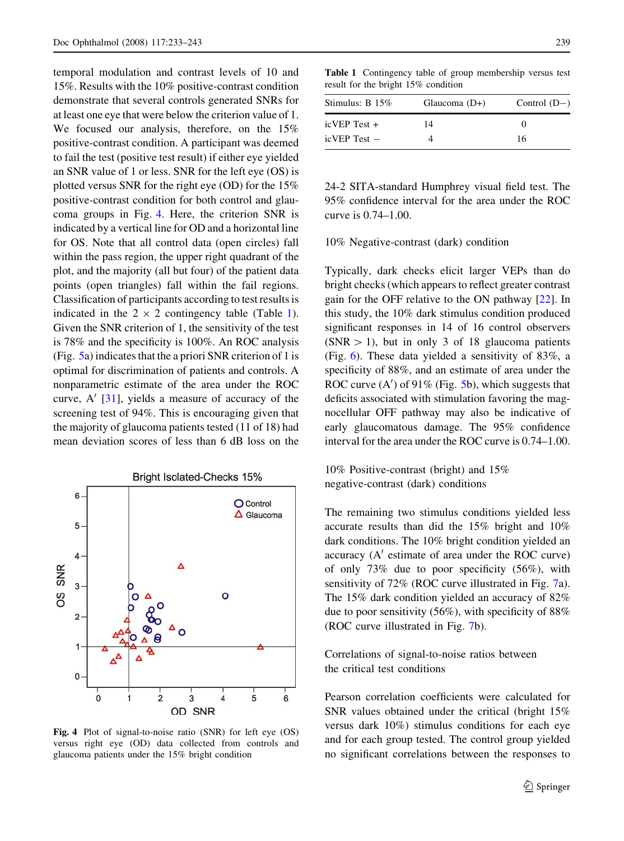temporal modulation and contrast levels of 10 and 15%. Results with the 10% positive-contrast condition demonstrate that several controls generated SNRs for at least one eye that were below the criterion value of 1. We focused our analysis, therefore, on the 15% positive-contrast condition. A participant was deemed to fail the test (positive test result) if either eye yielded an SNR value of 1 or less. SNR for the left eye (OS) is plotted versus SNR for the right eye (OD) for the 15% positive-contrast condition for both control and glaucoma groups in Fig. 4. Here, the criterion SNR is indicated by a vertical line for OD and a horizontal line for OS. Note that all control data (open circles) fall within the pass region, the upper right quadrant of the plot, and the majority (all but four) of the patient data points (open triangles) fall within the fail regions. Classification of participants according to test results is indicated in the  $2 \times 2$  contingency table (Table 1). Given the SNR criterion of 1, the sensitivity of the test is 78% and the specificity is 100%. An ROC analysis (Fig. [5](#page-7-0)a) indicates that the a priori SNR criterion of 1 is optimal for discrimination of patients and controls. A nonparametric estimate of the area under the ROC curve,  $A'$  [\[31](#page-10-0)], yields a measure of accuracy of the screening test of 94%. This is encouraging given that the majority of glaucoma patients tested (11 of 18) had mean deviation scores of less than 6 dB loss on the



Fig. 4 Plot of signal-to-noise ratio (SNR) for left eye (OS) versus right eye (OD) data collected from controls and glaucoma patients under the 15% bright condition

Table 1 Contingency table of group membership versus test result for the bright 15% condition

| Stimulus: $B$ 15% | Glaucoma $(D+)$ | Control $(D-)$ |
|-------------------|-----------------|----------------|
| $i$ cVEP Test +   | 14              | $\theta$       |
| $i$ cVEP Test $-$ |                 | 16             |

24-2 SITA-standard Humphrey visual field test. The 95% confidence interval for the area under the ROC curve is 0.74–1.00.

10% Negative-contrast (dark) condition

Typically, dark checks elicit larger VEPs than do bright checks (which appears to reflect greater contrast gain for the OFF relative to the ON pathway [\[22](#page-10-0)]. In this study, the 10% dark stimulus condition produced significant responses in 14 of 16 control observers  $(NR > 1)$ , but in only 3 of 18 glaucoma patients (Fig. [6](#page-7-0)). These data yielded a sensitivity of 83%, a specificity of 88%, and an estimate of area under the ROC curve  $(A')$  of 91% (Fig. [5](#page-7-0)b), which suggests that deficits associated with stimulation favoring the magnocellular OFF pathway may also be indicative of early glaucomatous damage. The 95% confidence interval for the area under the ROC curve is 0.74–1.00.

10% Positive-contrast (bright) and 15% negative-contrast (dark) conditions

The remaining two stimulus conditions yielded less accurate results than did the 15% bright and 10% dark conditions. The 10% bright condition yielded an accuracy  $(A'$  estimate of area under the ROC curve) of only 73% due to poor specificity (56%), with sensitivity of 72% (ROC curve illustrated in Fig. [7a](#page-8-0)). The 15% dark condition yielded an accuracy of 82% due to poor sensitivity (56%), with specificity of 88% (ROC curve illustrated in Fig. [7](#page-8-0)b).

Correlations of signal-to-noise ratios between the critical test conditions

Pearson correlation coefficients were calculated for SNR values obtained under the critical (bright 15% versus dark 10%) stimulus conditions for each eye and for each group tested. The control group yielded no significant correlations between the responses to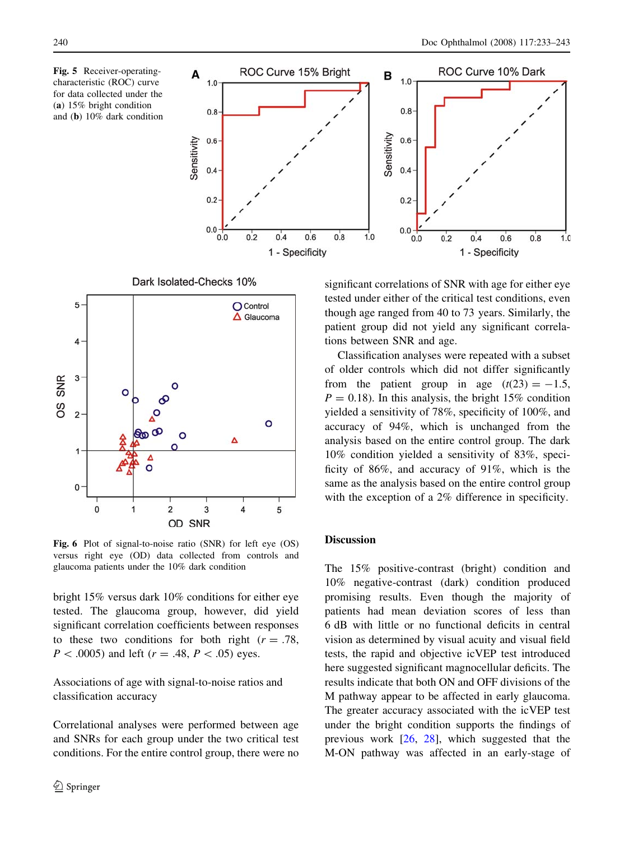<span id="page-7-0"></span>Fig. 5 Receiver-operatingcharacteristic (ROC) curve for data collected under the (a) 15% bright condition and (b) 10% dark condition



5 O Control  $\Delta$  Glaucoma 4

Dark Isolated-Checks 10%



Fig. 6 Plot of signal-to-noise ratio (SNR) for left eye (OS) versus right eye (OD) data collected from controls and glaucoma patients under the 10% dark condition

bright 15% versus dark 10% conditions for either eye tested. The glaucoma group, however, did yield significant correlation coefficients between responses to these two conditions for both right  $(r = .78)$ ,  $P < .0005$ ) and left ( $r = .48, P < .05$ ) eyes.

Associations of age with signal-to-noise ratios and classification accuracy

Correlational analyses were performed between age and SNRs for each group under the two critical test conditions. For the entire control group, there were no significant correlations of SNR with age for either eye tested under either of the critical test conditions, even though age ranged from 40 to 73 years. Similarly, the patient group did not yield any significant correlations between SNR and age.

Classification analyses were repeated with a subset of older controls which did not differ significantly from the patient group in age  $(t(23) = -1.5$ ,  $P = 0.18$ ). In this analysis, the bright 15% condition yielded a sensitivity of 78%, specificity of 100%, and accuracy of 94%, which is unchanged from the analysis based on the entire control group. The dark 10% condition yielded a sensitivity of 83%, specificity of 86%, and accuracy of 91%, which is the same as the analysis based on the entire control group with the exception of a 2% difference in specificity.

#### **Discussion**

The 15% positive-contrast (bright) condition and 10% negative-contrast (dark) condition produced promising results. Even though the majority of patients had mean deviation scores of less than 6 dB with little or no functional deficits in central vision as determined by visual acuity and visual field tests, the rapid and objective icVEP test introduced here suggested significant magnocellular deficits. The results indicate that both ON and OFF divisions of the M pathway appear to be affected in early glaucoma. The greater accuracy associated with the icVEP test under the bright condition supports the findings of previous work [[26,](#page-10-0) [28\]](#page-10-0), which suggested that the M-ON pathway was affected in an early-stage of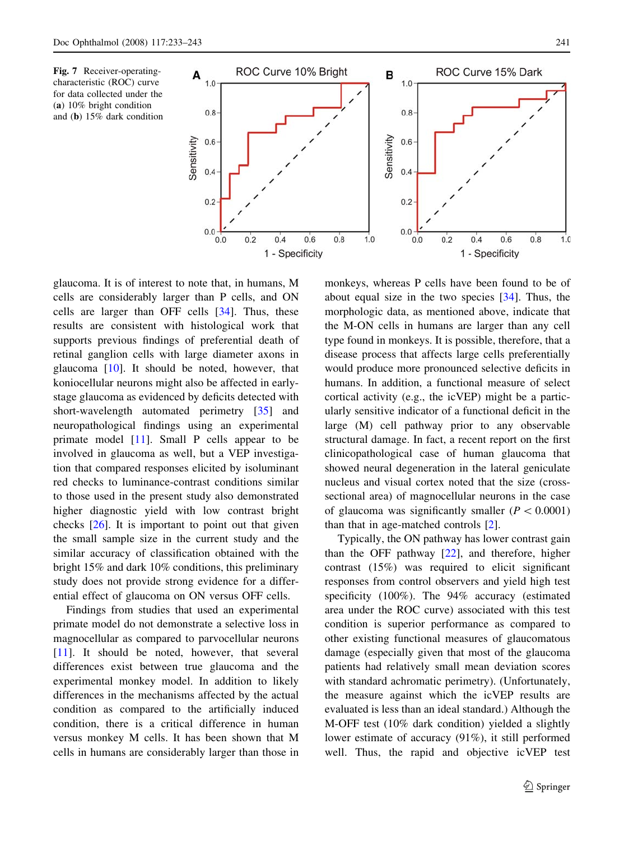<span id="page-8-0"></span>Fig. 7 Receiver-operatingcharacteristic (ROC) curve for data collected under the (a) 10% bright condition and (b) 15% dark condition



glaucoma. It is of interest to note that, in humans, M cells are considerably larger than P cells, and ON cells are larger than OFF cells [[34\]](#page-10-0). Thus, these results are consistent with histological work that supports previous findings of preferential death of retinal ganglion cells with large diameter axons in glaucoma [[10\]](#page-10-0). It should be noted, however, that koniocellular neurons might also be affected in earlystage glaucoma as evidenced by deficits detected with short-wavelength automated perimetry [[35\]](#page-10-0) and neuropathological findings using an experimental primate model [\[11](#page-10-0)]. Small P cells appear to be involved in glaucoma as well, but a VEP investigation that compared responses elicited by isoluminant red checks to luminance-contrast conditions similar to those used in the present study also demonstrated higher diagnostic yield with low contrast bright checks [[26\]](#page-10-0). It is important to point out that given the small sample size in the current study and the similar accuracy of classification obtained with the bright 15% and dark 10% conditions, this preliminary study does not provide strong evidence for a differential effect of glaucoma on ON versus OFF cells.

Findings from studies that used an experimental primate model do not demonstrate a selective loss in magnocellular as compared to parvocellular neurons [\[11](#page-10-0)]. It should be noted, however, that several differences exist between true glaucoma and the experimental monkey model. In addition to likely differences in the mechanisms affected by the actual condition as compared to the artificially induced condition, there is a critical difference in human versus monkey M cells. It has been shown that M cells in humans are considerably larger than those in monkeys, whereas P cells have been found to be of about equal size in the two species [\[34](#page-10-0)]. Thus, the morphologic data, as mentioned above, indicate that the M-ON cells in humans are larger than any cell type found in monkeys. It is possible, therefore, that a disease process that affects large cells preferentially would produce more pronounced selective deficits in humans. In addition, a functional measure of select cortical activity (e.g., the icVEP) might be a particularly sensitive indicator of a functional deficit in the large (M) cell pathway prior to any observable structural damage. In fact, a recent report on the first clinicopathological case of human glaucoma that showed neural degeneration in the lateral geniculate nucleus and visual cortex noted that the size (crosssectional area) of magnocellular neurons in the case of glaucoma was significantly smaller  $(P<0.0001)$ than that in age-matched controls [\[2](#page-9-0)].

Typically, the ON pathway has lower contrast gain than the OFF pathway [\[22](#page-10-0)], and therefore, higher contrast (15%) was required to elicit significant responses from control observers and yield high test specificity (100%). The 94% accuracy (estimated area under the ROC curve) associated with this test condition is superior performance as compared to other existing functional measures of glaucomatous damage (especially given that most of the glaucoma patients had relatively small mean deviation scores with standard achromatic perimetry). (Unfortunately, the measure against which the icVEP results are evaluated is less than an ideal standard.) Although the M-OFF test (10% dark condition) yielded a slightly lower estimate of accuracy (91%), it still performed well. Thus, the rapid and objective icVEP test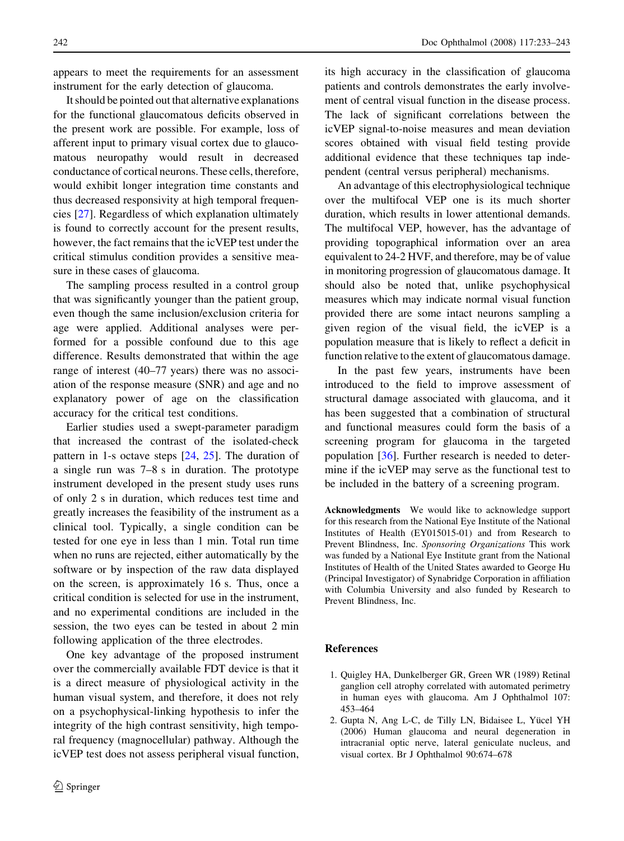<span id="page-9-0"></span>appears to meet the requirements for an assessment instrument for the early detection of glaucoma.

It should be pointed out that alternative explanations for the functional glaucomatous deficits observed in the present work are possible. For example, loss of afferent input to primary visual cortex due to glaucomatous neuropathy would result in decreased conductance of cortical neurons. These cells, therefore, would exhibit longer integration time constants and thus decreased responsivity at high temporal frequencies [\[27](#page-10-0)]. Regardless of which explanation ultimately is found to correctly account for the present results, however, the fact remains that the icVEP test under the critical stimulus condition provides a sensitive measure in these cases of glaucoma.

The sampling process resulted in a control group that was significantly younger than the patient group, even though the same inclusion/exclusion criteria for age were applied. Additional analyses were performed for a possible confound due to this age difference. Results demonstrated that within the age range of interest (40–77 years) there was no association of the response measure (SNR) and age and no explanatory power of age on the classification accuracy for the critical test conditions.

Earlier studies used a swept-parameter paradigm that increased the contrast of the isolated-check pattern in 1-s octave steps [\[24](#page-10-0), [25](#page-10-0)]. The duration of a single run was 7–8 s in duration. The prototype instrument developed in the present study uses runs of only 2 s in duration, which reduces test time and greatly increases the feasibility of the instrument as a clinical tool. Typically, a single condition can be tested for one eye in less than 1 min. Total run time when no runs are rejected, either automatically by the software or by inspection of the raw data displayed on the screen, is approximately 16 s. Thus, once a critical condition is selected for use in the instrument, and no experimental conditions are included in the session, the two eyes can be tested in about 2 min following application of the three electrodes.

One key advantage of the proposed instrument over the commercially available FDT device is that it is a direct measure of physiological activity in the human visual system, and therefore, it does not rely on a psychophysical-linking hypothesis to infer the integrity of the high contrast sensitivity, high temporal frequency (magnocellular) pathway. Although the icVEP test does not assess peripheral visual function, its high accuracy in the classification of glaucoma patients and controls demonstrates the early involvement of central visual function in the disease process. The lack of significant correlations between the icVEP signal-to-noise measures and mean deviation scores obtained with visual field testing provide additional evidence that these techniques tap independent (central versus peripheral) mechanisms.

An advantage of this electrophysiological technique over the multifocal VEP one is its much shorter duration, which results in lower attentional demands. The multifocal VEP, however, has the advantage of providing topographical information over an area equivalent to 24-2 HVF, and therefore, may be of value in monitoring progression of glaucomatous damage. It should also be noted that, unlike psychophysical measures which may indicate normal visual function provided there are some intact neurons sampling a given region of the visual field, the icVEP is a population measure that is likely to reflect a deficit in function relative to the extent of glaucomatous damage.

In the past few years, instruments have been introduced to the field to improve assessment of structural damage associated with glaucoma, and it has been suggested that a combination of structural and functional measures could form the basis of a screening program for glaucoma in the targeted population [[36\]](#page-10-0). Further research is needed to determine if the icVEP may serve as the functional test to be included in the battery of a screening program.

Acknowledgments We would like to acknowledge support for this research from the National Eye Institute of the National Institutes of Health (EY015015-01) and from Research to Prevent Blindness, Inc. Sponsoring Organizations This work was funded by a National Eye Institute grant from the National Institutes of Health of the United States awarded to George Hu (Principal Investigator) of Synabridge Corporation in affiliation with Columbia University and also funded by Research to Prevent Blindness, Inc.

## References

- 1. Quigley HA, Dunkelberger GR, Green WR (1989) Retinal ganglion cell atrophy correlated with automated perimetry in human eyes with glaucoma. Am J Ophthalmol 107: 453–464
- 2. Gupta N, Ang L-C, de Tilly LN, Bidaisee L, Yücel YH (2006) Human glaucoma and neural degeneration in intracranial optic nerve, lateral geniculate nucleus, and visual cortex. Br J Ophthalmol 90:674–678